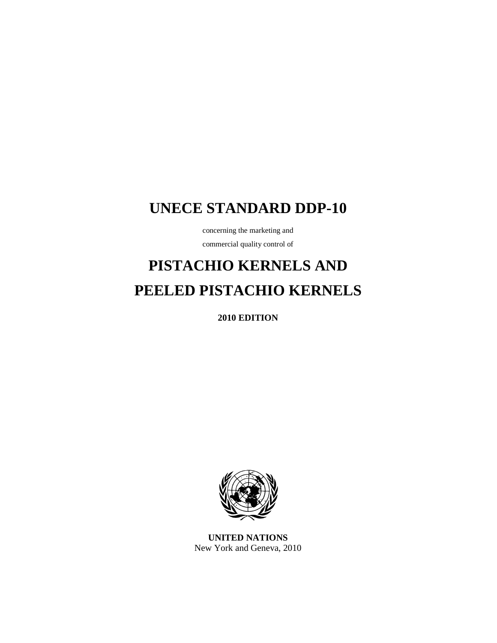## **UNECE STANDARD DDP-10**

concerning the marketing and

commercial quality control of

# **PISTACHIO KERNELS AND PEELED PISTACHIO KERNELS**

**2010 EDITION** 



**UNITED NATIONS**  New York and Geneva, 2010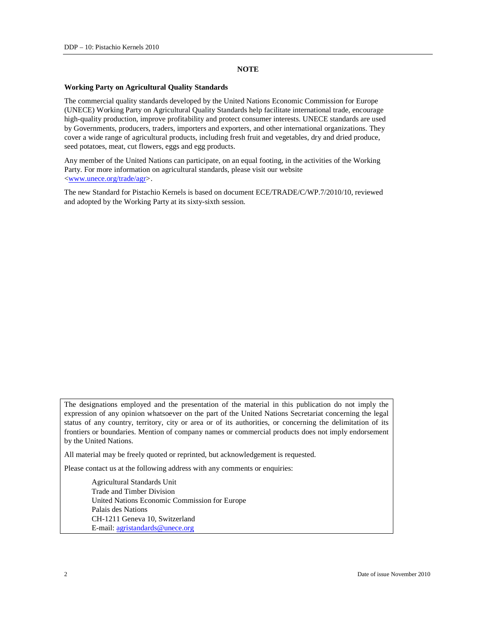### **NOTE**

#### **Working Party on Agricultural Quality Standards**

The commercial quality standards developed by the United Nations Economic Commission for Europe (UNECE) Working Party on Agricultural Quality Standards help facilitate international trade, encourage high-quality production, improve profitability and protect consumer interests. UNECE standards are used by Governments, producers, traders, importers and exporters, and other international organizations. They cover a wide range of agricultural products, including fresh fruit and vegetables, dry and dried produce, seed potatoes, meat, cut flowers, eggs and egg products.

Any member of the United Nations can participate, on an equal footing, in the activities of the Working Party. For more information on agricultural standards, please visit our website <www.unece.org/trade/agr>.

The new Standard for Pistachio Kernels is based on document ECE/TRADE/C/WP.7/2010/10, reviewed and adopted by the Working Party at its sixty-sixth session.

The designations employed and the presentation of the material in this publication do not imply the expression of any opinion whatsoever on the part of the United Nations Secretariat concerning the legal status of any country, territory, city or area or of its authorities, or concerning the delimitation of its frontiers or boundaries. Mention of company names or commercial products does not imply endorsement by the United Nations.

All material may be freely quoted or reprinted, but acknowledgement is requested.

Please contact us at the following address with any comments or enquiries:

 Agricultural Standards Unit Trade and Timber Division United Nations Economic Commission for Europe Palais des Nations CH-1211 Geneva 10, Switzerland E-mail: agristandards@unece.org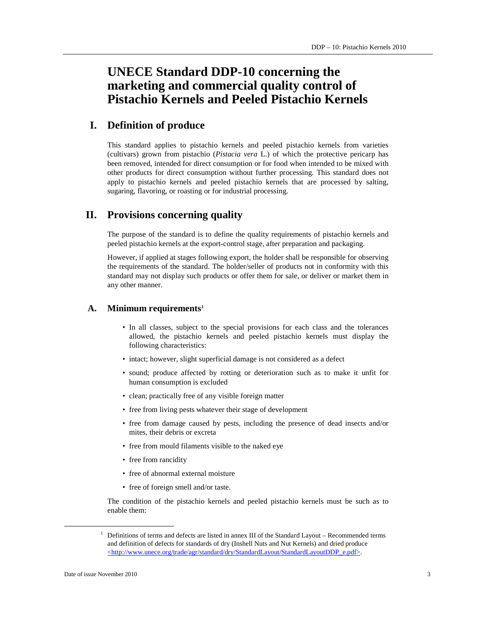### **UNECE Standard DDP-10 concerning the marketing and commercial quality control of Pistachio Kernels and Peeled Pistachio Kernels**

### **I. Definition of produce**

This standard applies to pistachio kernels and peeled pistachio kernels from varieties (cultivars) grown from pistachio (*Pistacia vera* L.) of which the protective pericarp has been removed, intended for direct consumption or for food when intended to be mixed with other products for direct consumption without further processing. This standard does not apply to pistachio kernels and peeled pistachio kernels that are processed by salting, sugaring, flavoring, or roasting or for industrial processing.

### **II. Provisions concerning quality**

The purpose of the standard is to define the quality requirements of pistachio kernels and peeled pistachio kernels at the export-control stage, after preparation and packaging.

However, if applied at stages following export, the holder shall be responsible for observing the requirements of the standard. The holder/seller of products not in conformity with this standard may not display such products or offer them for sale, or deliver or market them in any other manner.

### **A. Minimum requirements<sup>1</sup>**

- In all classes, subject to the special provisions for each class and the tolerances allowed, the pistachio kernels and peeled pistachio kernels must display the following characteristics:
- intact; however, slight superficial damage is not considered as a defect
- sound; produce affected by rotting or deterioration such as to make it unfit for human consumption is excluded
- clean; practically free of any visible foreign matter
- free from living pests whatever their stage of development
- free from damage caused by pests, including the presence of dead insects and/or mites, their debris or excreta
- free from mould filaments visible to the naked eye
- free from rancidity
- free of abnormal external moisture
- free of foreign smell and/or taste.

The condition of the pistachio kernels and peeled pistachio kernels must be such as to enable them:

 $\overline{a}$ 

<sup>&</sup>lt;sup>1</sup> Definitions of terms and defects are listed in annex III of the Standard Layout – Recommended terms and definition of defects for standards of dry (Inshell Nuts and Nut Kernels) and dried produce <http://www.unece.org/trade/agr/standard/dry/StandardLayout/StandardLayoutDDP\_e.pdf>.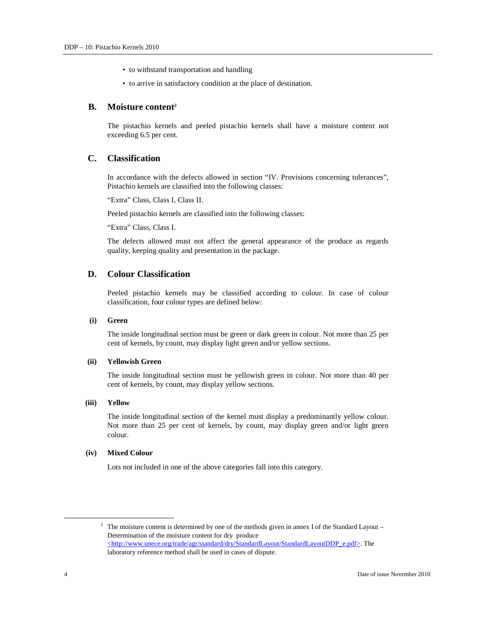- to withstand transportation and handling
- to arrive in satisfactory condition at the place of destination.

### **B. Moisture content<sup>2</sup>**

The pistachio kernels and peeled pistachio kernels shall have a moisture content not exceeding 6.5 per cent.

### **C. Classification**

In accordance with the defects allowed in section "IV. Provisions concerning tolerances", Pistachio kernels are classified into the following classes:

"Extra" Class, Class I, Class II.

Peeled pistachio kernels are classified into the following classes:

"Extra" Class, Class I.

The defects allowed must not affect the general appearance of the produce as regards quality, keeping quality and presentation in the package.

### **D. Colour Classification**

Peeled pistachio kernels may be classified according to colour. In case of colour classification, four colour types are defined below:

### **(i) Green**

The inside longitudinal section must be green or dark green in colour. Not more than 25 per cent of kernels, by count, may display light green and/or yellow sections.

### **(ii) Yellowish Green**

The inside longitudinal section must be yellowish green in colour. Not more than 40 per cent of kernels, by count, may display yellow sections.

#### **(iii) Yellow**

The inside longitudinal section of the kernel must display a predominantly yellow colour. Not more than 25 per cent of kernels, by count, may display green and/or light green colour.

### **(iv) Mixed Colour**

Lots not included in one of the above categories fall into this category.

 $\overline{a}$ 

<sup>&</sup>lt;sup>2</sup> The moisture content is determined by one of the methods given in annex I of the Standard Layout – Determination of the moisture content for dry produce <http://www.unece.org/trade/agr/standard/dry/StandardLayout/StandardLayoutDDP\_e.pdf>. The laboratory reference method shall be used in cases of dispute.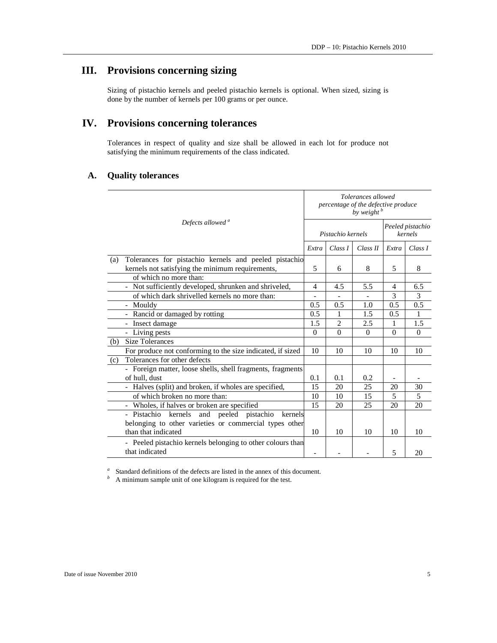### **III. Provisions concerning sizing**

Sizing of pistachio kernels and peeled pistachio kernels is optional. When sized, sizing is done by the number of kernels per 100 grams or per ounce.

### **IV. Provisions concerning tolerances**

Tolerances in respect of quality and size shall be allowed in each lot for produce not satisfying the minimum requirements of the class indicated.

### **A. Quality tolerances**

|     | Defects allowed <sup>a</sup>                                                                                                            | Tolerances allowed<br>percentage of the defective produce<br>by weight <sup>b</sup> |                |          |                             |               |
|-----|-----------------------------------------------------------------------------------------------------------------------------------------|-------------------------------------------------------------------------------------|----------------|----------|-----------------------------|---------------|
|     |                                                                                                                                         | Pistachio kernels                                                                   |                |          | Peeled pistachio<br>kernels |               |
|     |                                                                                                                                         | Extra                                                                               | Class I        | Class II | Extra                       | Class I       |
| (a) | Tolerances for pistachio kernels and peeled pistachio<br>kernels not satisfying the minimum requirements,                               | 5                                                                                   | 6              | 8        | 5                           | 8             |
|     | of which no more than:                                                                                                                  |                                                                                     |                |          |                             |               |
|     | Not sufficiently developed, shrunken and shriveled,                                                                                     | 4                                                                                   | 4.5            | 5.5      | 4                           | 6.5           |
|     | of which dark shrivelled kernels no more than:                                                                                          |                                                                                     |                |          | 3                           | $\mathcal{E}$ |
|     | Mouldy<br>$\overline{\phantom{0}}$                                                                                                      | 0.5                                                                                 | 0.5            | 1.0      | 0.5                         | 0.5           |
|     | Rancid or damaged by rotting                                                                                                            | 0.5                                                                                 | 1              | 1.5      | 0.5                         | 1             |
|     | Insect damage<br>$\overline{\phantom{a}}$                                                                                               | 1.5                                                                                 | $\overline{2}$ | 2.5      | 1                           | 1.5           |
|     | - Living pests                                                                                                                          | $\theta$                                                                            | $\theta$       | $\theta$ | $\Omega$                    | $\Omega$      |
| (b) | <b>Size Tolerances</b>                                                                                                                  |                                                                                     |                |          |                             |               |
|     | For produce not conforming to the size indicated, if sized                                                                              | 10                                                                                  | 10             | 10       | 10                          | 10            |
| (c) | Tolerances for other defects                                                                                                            |                                                                                     |                |          |                             |               |
|     | - Foreign matter, loose shells, shell fragments, fragments<br>of hull, dust                                                             | 0.1                                                                                 | 0.1            | 0.2      |                             |               |
|     | - Halves (split) and broken, if wholes are specified,                                                                                   | 15                                                                                  | 20             | 25       | 20                          | 30            |
|     | of which broken no more than:                                                                                                           | 10                                                                                  | 10             | 15       | 5                           | 5             |
|     | - Wholes, if halves or broken are specified                                                                                             | 15                                                                                  | 20             | 25       | 20                          | 20            |
|     | and peeled pistachio<br>- Pistachio kernels<br>kernels<br>belonging to other varieties or commercial types other<br>than that indicated | 10                                                                                  | 10             | 10       | 10                          | 10            |
|     | - Peeled pistachio kernels belonging to other colours than<br>that indicated                                                            | $\overline{\phantom{a}}$                                                            |                |          | 5                           | 20            |

<sup>a</sup> Standard definitions of the defects are listed in the annex of this document.

*b* A minimum sample unit of one kilogram is required for the test.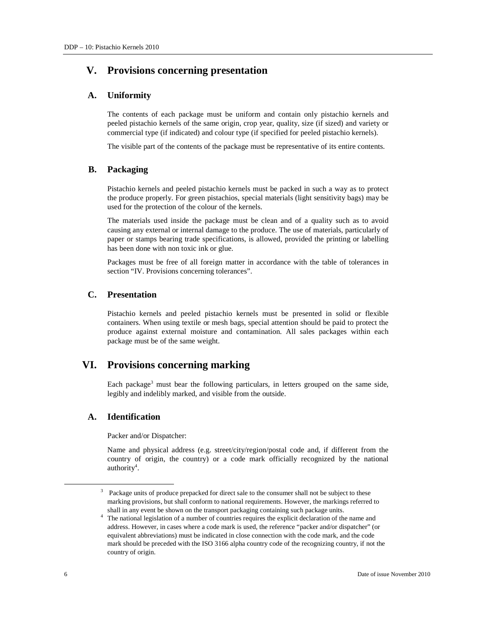### **V. Provisions concerning presentation**

### **A. Uniformity**

The contents of each package must be uniform and contain only pistachio kernels and peeled pistachio kernels of the same origin, crop year, quality, size (if sized) and variety or commercial type (if indicated) and colour type (if specified for peeled pistachio kernels).

The visible part of the contents of the package must be representative of its entire contents.

### **B. Packaging**

Pistachio kernels and peeled pistachio kernels must be packed in such a way as to protect the produce properly. For green pistachios, special materials (light sensitivity bags) may be used for the protection of the colour of the kernels.

The materials used inside the package must be clean and of a quality such as to avoid causing any external or internal damage to the produce. The use of materials, particularly of paper or stamps bearing trade specifications, is allowed, provided the printing or labelling has been done with non toxic ink or glue.

Packages must be free of all foreign matter in accordance with the table of tolerances in section "IV. Provisions concerning tolerances".

### **C. Presentation**

Pistachio kernels and peeled pistachio kernels must be presented in solid or flexible containers. When using textile or mesh bags, special attention should be paid to protect the produce against external moisture and contamination. All sales packages within each package must be of the same weight.

### **VI. Provisions concerning marking**

Each package<sup>3</sup> must bear the following particulars, in letters grouped on the same side, legibly and indelibly marked, and visible from the outside.

### **A. Identification**

Packer and/or Dispatcher:

Name and physical address (e.g. street/city/region/postal code and, if different from the country of origin, the country) or a code mark officially recognized by the national authority<sup>4</sup>.

 $\overline{a}$ 

<sup>&</sup>lt;sup>3</sup> Package units of produce prepacked for direct sale to the consumer shall not be subject to these marking provisions, but shall conform to national requirements. However, the markings referred to shall in any event be shown on the transport packaging containing such package units.

<sup>4</sup> The national legislation of a number of countries requires the explicit declaration of the name and address. However, in cases where a code mark is used, the reference "packer and/or dispatcher" (or equivalent abbreviations) must be indicated in close connection with the code mark, and the code mark should be preceded with the ISO 3166 alpha country code of the recognizing country, if not the country of origin.